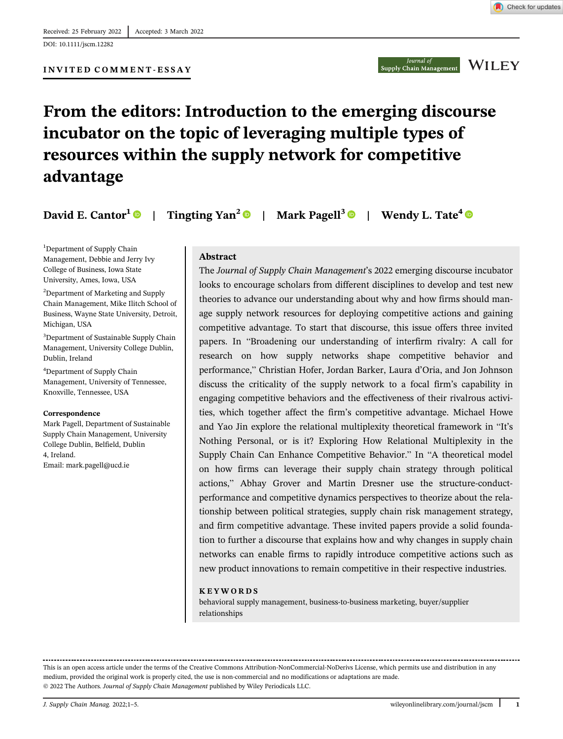Check for updates

### INVITED COMMENT-ESSAY

# From the editors: Introduction to the emerging discourse incubator on the topic of leveraging multiple types of resources within the supply network for competitive advantage

David E. Cantor<sup>1</sup> | Tingting Yan<sup>2</sup> | Mark Pagell<sup>3</sup> | Wendy L. Tate<sup>4</sup>

<sup>1</sup>Department of Supply Chain Management, Debbie and Jerry Ivy College of Business, Iowa State University, Ames, Iowa, USA

<sup>2</sup>Department of Marketing and Supply Chain Management, Mike Ilitch School of Business, Wayne State University, Detroit, Michigan, USA

3 Department of Sustainable Supply Chain Management, University College Dublin, Dublin, Ireland

4 Department of Supply Chain Management, University of Tennessee, Knoxville, Tennessee, USA

#### Correspondence

Mark Pagell, Department of Sustainable Supply Chain Management, University College Dublin, Belfield, Dublin 4, Ireland. Email: [mark.pagell@ucd.ie](mailto:mark.pagell@ucd.ie)

#### Abstract

The Journal of Supply Chain Management's 2022 emerging discourse incubator looks to encourage scholars from different disciplines to develop and test new theories to advance our understanding about why and how firms should manage supply network resources for deploying competitive actions and gaining competitive advantage. To start that discourse, this issue offers three invited papers. In "Broadening our understanding of interfirm rivalry: A call for research on how supply networks shape competitive behavior and performance," Christian Hofer, Jordan Barker, Laura d'Oria, and Jon Johnson discuss the criticality of the supply network to a focal firm's capability in engaging competitive behaviors and the effectiveness of their rivalrous activities, which together affect the firm's competitive advantage. Michael Howe and Yao Jin explore the relational multiplexity theoretical framework in "It's Nothing Personal, or is it? Exploring How Relational Multiplexity in the Supply Chain Can Enhance Competitive Behavior." In "A theoretical model on how firms can leverage their supply chain strategy through political actions," Abhay Grover and Martin Dresner use the structure-conductperformance and competitive dynamics perspectives to theorize about the relationship between political strategies, supply chain risk management strategy, and firm competitive advantage. These invited papers provide a solid foundation to further a discourse that explains how and why changes in supply chain networks can enable firms to rapidly introduce competitive actions such as new product innovations to remain competitive in their respective industries.

#### KEYWORDS

behavioral supply management, business-to-business marketing, buyer/supplier relationships

This is an open access article under the terms of the [Creative Commons Attribution-NonCommercial-NoDerivs](http://creativecommons.org/licenses/by-nc-nd/4.0/) License, which permits use and distribution in any medium, provided the original work is properly cited, the use is non-commercial and no modifications or adaptations are made. © 2022 The Authors. Journal of Supply Chain Management published by Wiley Periodicals LLC.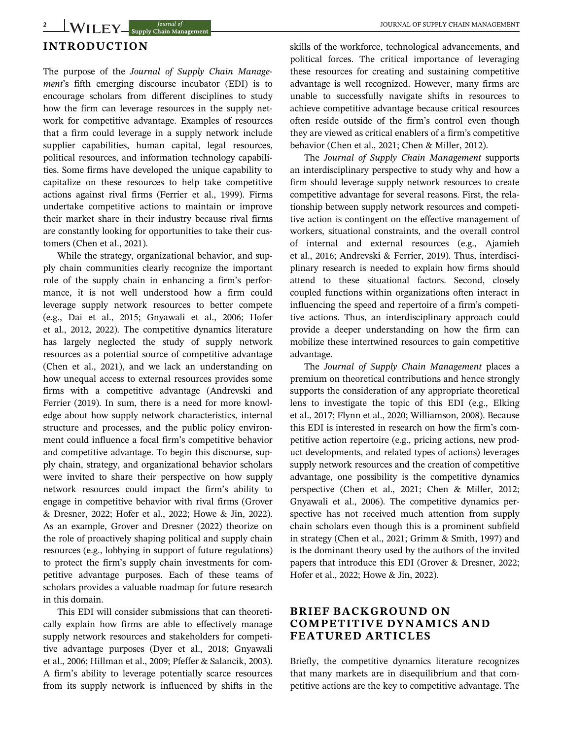# INTRODUCTION

The purpose of the Journal of Supply Chain Management's fifth emerging discourse incubator (EDI) is to encourage scholars from different disciplines to study how the firm can leverage resources in the supply network for competitive advantage. Examples of resources that a firm could leverage in a supply network include supplier capabilities, human capital, legal resources, political resources, and information technology capabilities. Some firms have developed the unique capability to capitalize on these resources to help take competitive actions against rival firms (Ferrier et al., 1999). Firms undertake competitive actions to maintain or improve their market share in their industry because rival firms are constantly looking for opportunities to take their customers (Chen et al., 2021).

While the strategy, organizational behavior, and supply chain communities clearly recognize the important role of the supply chain in enhancing a firm's performance, it is not well understood how a firm could leverage supply network resources to better compete (e.g., Dai et al., 2015; Gnyawali et al., 2006; Hofer et al., 2012, 2022). The competitive dynamics literature has largely neglected the study of supply network resources as a potential source of competitive advantage (Chen et al., 2021), and we lack an understanding on how unequal access to external resources provides some firms with a competitive advantage (Andrevski and Ferrier (2019). In sum, there is a need for more knowledge about how supply network characteristics, internal structure and processes, and the public policy environment could influence a focal firm's competitive behavior and competitive advantage. To begin this discourse, supply chain, strategy, and organizational behavior scholars were invited to share their perspective on how supply network resources could impact the firm's ability to engage in competitive behavior with rival firms (Grover & Dresner, 2022; Hofer et al., 2022; Howe & Jin, 2022). As an example, Grover and Dresner (2022) theorize on the role of proactively shaping political and supply chain resources (e.g., lobbying in support of future regulations) to protect the firm's supply chain investments for competitive advantage purposes. Each of these teams of scholars provides a valuable roadmap for future research in this domain.

This EDI will consider submissions that can theoretically explain how firms are able to effectively manage supply network resources and stakeholders for competitive advantage purposes (Dyer et al., 2018; Gnyawali et al., 2006; Hillman et al., 2009; Pfeffer & Salancik, 2003). A firm's ability to leverage potentially scarce resources from its supply network is influenced by shifts in the skills of the workforce, technological advancements, and political forces. The critical importance of leveraging these resources for creating and sustaining competitive advantage is well recognized. However, many firms are unable to successfully navigate shifts in resources to achieve competitive advantage because critical resources often reside outside of the firm's control even though they are viewed as critical enablers of a firm's competitive behavior (Chen et al., 2021; Chen & Miller, 2012).

The Journal of Supply Chain Management supports an interdisciplinary perspective to study why and how a firm should leverage supply network resources to create competitive advantage for several reasons. First, the relationship between supply network resources and competitive action is contingent on the effective management of workers, situational constraints, and the overall control of internal and external resources (e.g., Ajamieh et al., 2016; Andrevski & Ferrier, 2019). Thus, interdisciplinary research is needed to explain how firms should attend to these situational factors. Second, closely coupled functions within organizations often interact in influencing the speed and repertoire of a firm's competitive actions. Thus, an interdisciplinary approach could provide a deeper understanding on how the firm can mobilize these intertwined resources to gain competitive advantage.

The Journal of Supply Chain Management places a premium on theoretical contributions and hence strongly supports the consideration of any appropriate theoretical lens to investigate the topic of this EDI (e.g., Elking et al., 2017; Flynn et al., 2020; Williamson, 2008). Because this EDI is interested in research on how the firm's competitive action repertoire (e.g., pricing actions, new product developments, and related types of actions) leverages supply network resources and the creation of competitive advantage, one possibility is the competitive dynamics perspective (Chen et al., 2021; Chen & Miller, 2012; Gnyawali et al., 2006). The competitive dynamics perspective has not received much attention from supply chain scholars even though this is a prominent subfield in strategy (Chen et al., 2021; Grimm & Smith, 1997) and is the dominant theory used by the authors of the invited papers that introduce this EDI (Grover & Dresner, 2022; Hofer et al., 2022; Howe & Jin, 2022).

## BRIEF BACKGROUND ON COMPETITIVE DYNAMICS AND FEATURED ARTICLES

Briefly, the competitive dynamics literature recognizes that many markets are in disequilibrium and that competitive actions are the key to competitive advantage. The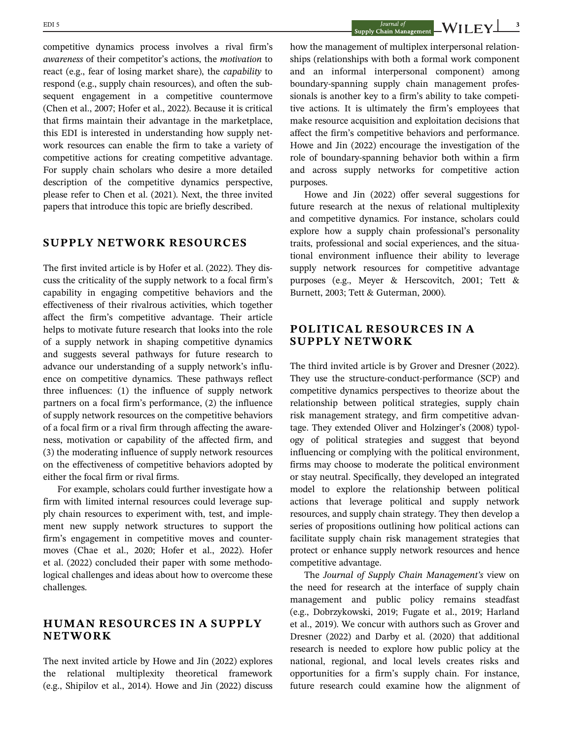EDI 5  $J_{\text{0urnal of}}$   $J_{\text{0urnal of}}$   $\blacksquare$   $\blacksquare$   $\blacksquare$   $\blacksquare$   $\blacksquare$   $\blacksquare$   $\blacksquare$   $\blacksquare$   $\blacksquare$   $\blacksquare$   $\blacksquare$   $\blacksquare$   $\blacksquare$   $\blacksquare$   $\blacksquare$   $\blacksquare$   $\blacksquare$   $\blacksquare$   $\blacksquare$   $\blacksquare$   $\blacksquare$   $\blacksquare$   $\blacksquare$   $\blacksquare$   $\blacksquare$   $\blacksquare$   $\blacksquare$ 

competitive dynamics process involves a rival firm's awareness of their competitor's actions, the motivation to react (e.g., fear of losing market share), the capability to respond (e.g., supply chain resources), and often the subsequent engagement in a competitive countermove (Chen et al., 2007; Hofer et al., 2022). Because it is critical that firms maintain their advantage in the marketplace, this EDI is interested in understanding how supply network resources can enable the firm to take a variety of competitive actions for creating competitive advantage. For supply chain scholars who desire a more detailed description of the competitive dynamics perspective, please refer to Chen et al. (2021). Next, the three invited papers that introduce this topic are briefly described.

# SUPPLY NETWORK RESOURCES

The first invited article is by Hofer et al. (2022). They discuss the criticality of the supply network to a focal firm's capability in engaging competitive behaviors and the effectiveness of their rivalrous activities, which together affect the firm's competitive advantage. Their article helps to motivate future research that looks into the role of a supply network in shaping competitive dynamics and suggests several pathways for future research to advance our understanding of a supply network's influence on competitive dynamics. These pathways reflect three influences: (1) the influence of supply network partners on a focal firm's performance, (2) the influence of supply network resources on the competitive behaviors of a focal firm or a rival firm through affecting the awareness, motivation or capability of the affected firm, and (3) the moderating influence of supply network resources on the effectiveness of competitive behaviors adopted by either the focal firm or rival firms.

For example, scholars could further investigate how a firm with limited internal resources could leverage supply chain resources to experiment with, test, and implement new supply network structures to support the firm's engagement in competitive moves and countermoves (Chae et al., 2020; Hofer et al., 2022). Hofer et al. (2022) concluded their paper with some methodological challenges and ideas about how to overcome these challenges.

## HUMAN RESOURCES IN A SUPPLY NETWORK

The next invited article by Howe and Jin (2022) explores the relational multiplexity theoretical framework (e.g., Shipilov et al., 2014). Howe and Jin (2022) discuss

how the management of multiplex interpersonal relationships (relationships with both a formal work component and an informal interpersonal component) among boundary-spanning supply chain management professionals is another key to a firm's ability to take competitive actions. It is ultimately the firm's employees that make resource acquisition and exploitation decisions that affect the firm's competitive behaviors and performance. Howe and Jin (2022) encourage the investigation of the role of boundary-spanning behavior both within a firm and across supply networks for competitive action purposes.

Howe and Jin (2022) offer several suggestions for future research at the nexus of relational multiplexity and competitive dynamics. For instance, scholars could explore how a supply chain professional's personality traits, professional and social experiences, and the situational environment influence their ability to leverage supply network resources for competitive advantage purposes (e.g., Meyer & Herscovitch, 2001; Tett & Burnett, 2003; Tett & Guterman, 2000).

## POLITICAL RESOURCES IN A SUPPLY NETWORK

The third invited article is by Grover and Dresner (2022). They use the structure-conduct-performance (SCP) and competitive dynamics perspectives to theorize about the relationship between political strategies, supply chain risk management strategy, and firm competitive advantage. They extended Oliver and Holzinger's (2008) typology of political strategies and suggest that beyond influencing or complying with the political environment, firms may choose to moderate the political environment or stay neutral. Specifically, they developed an integrated model to explore the relationship between political actions that leverage political and supply network resources, and supply chain strategy. They then develop a series of propositions outlining how political actions can facilitate supply chain risk management strategies that protect or enhance supply network resources and hence competitive advantage.

The Journal of Supply Chain Management's view on the need for research at the interface of supply chain management and public policy remains steadfast (e.g., Dobrzykowski, 2019; Fugate et al., 2019; Harland et al., 2019). We concur with authors such as Grover and Dresner (2022) and Darby et al. (2020) that additional research is needed to explore how public policy at the national, regional, and local levels creates risks and opportunities for a firm's supply chain. For instance, future research could examine how the alignment of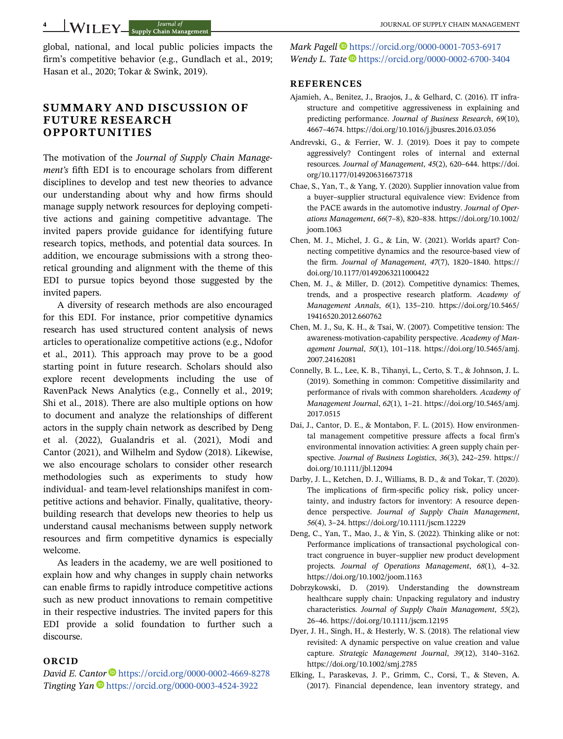global, national, and local public policies impacts the firm's competitive behavior (e.g., Gundlach et al., 2019; Hasan et al., 2020; Tokar & Swink, 2019).

## SUMMARY AND DISCUSSION OF FUTURE RESEARCH OPPORTUNITIES

The motivation of the Journal of Supply Chain Management's fifth EDI is to encourage scholars from different disciplines to develop and test new theories to advance our understanding about why and how firms should manage supply network resources for deploying competitive actions and gaining competitive advantage. The invited papers provide guidance for identifying future research topics, methods, and potential data sources. In addition, we encourage submissions with a strong theoretical grounding and alignment with the theme of this EDI to pursue topics beyond those suggested by the invited papers.

A diversity of research methods are also encouraged for this EDI. For instance, prior competitive dynamics research has used structured content analysis of news articles to operationalize competitive actions (e.g., Ndofor et al., 2011). This approach may prove to be a good starting point in future research. Scholars should also explore recent developments including the use of RavenPack News Analytics (e.g., Connelly et al., 2019; Shi et al., 2018). There are also multiple options on how to document and analyze the relationships of different actors in the supply chain network as described by Deng et al. (2022), Gualandris et al. (2021), Modi and Cantor (2021), and Wilhelm and Sydow (2018). Likewise, we also encourage scholars to consider other research methodologies such as experiments to study how individual- and team-level relationships manifest in competitive actions and behavior. Finally, qualitative, theorybuilding research that develops new theories to help us understand causal mechanisms between supply network resources and firm competitive dynamics is especially welcome.

As leaders in the academy, we are well positioned to explain how and why changes in supply chain networks can enable firms to rapidly introduce competitive actions such as new product innovations to remain competitive in their respective industries. The invited papers for this EDI provide a solid foundation to further such a discourse.

#### ORCID

David E. Cantor  $\blacksquare$  <https://orcid.org/0000-0002-4669-8278> Tingting Yan D<https://orcid.org/0000-0003-4524-3922>

Mark Pagell <sup>1</sup> <https://orcid.org/0000-0001-7053-6917> Wendy L. Tate <https://orcid.org/0000-0002-6700-3404>

#### **REFERENCES**

- Ajamieh, A., Benitez, J., Braojos, J., & Gelhard, C. (2016). IT infrastructure and competitive aggressiveness in explaining and predicting performance. Journal of Business Research, 69(10), 4667–4674.<https://doi.org/10.1016/j.jbusres.2016.03.056>
- Andrevski, G., & Ferrier, W. J. (2019). Does it pay to compete aggressively? Contingent roles of internal and external resources. Journal of Management, 45(2), 620–644. [https://doi.](https://doi.org/10.1177/0149206316673718) [org/10.1177/0149206316673718](https://doi.org/10.1177/0149206316673718)
- Chae, S., Yan, T., & Yang, Y. (2020). Supplier innovation value from a buyer–supplier structural equivalence view: Evidence from the PACE awards in the automotive industry. Journal of Operations Management, 66(7–8), 820–838. [https://doi.org/10.1002/](https://doi.org/10.1002/joom.1063) [joom.1063](https://doi.org/10.1002/joom.1063)
- Chen, M. J., Michel, J. G., & Lin, W. (2021). Worlds apart? Connecting competitive dynamics and the resource-based view of the firm. Journal of Management, 47(7), 1820–1840. [https://](https://doi.org/10.1177/01492063211000422) [doi.org/10.1177/01492063211000422](https://doi.org/10.1177/01492063211000422)
- Chen, M. J., & Miller, D. (2012). Competitive dynamics: Themes, trends, and a prospective research platform. Academy of Management Annals, 6(1), 135–210. [https://doi.org/10.5465/](https://doi.org/10.5465/19416520.2012.660762) [19416520.2012.660762](https://doi.org/10.5465/19416520.2012.660762)
- Chen, M. J., Su, K. H., & Tsai, W. (2007). Competitive tension: The awareness-motivation-capability perspective. Academy of Management Journal, 50(1), 101–118. [https://doi.org/10.5465/amj.](https://doi.org/10.5465/amj.2007.24162081) [2007.24162081](https://doi.org/10.5465/amj.2007.24162081)
- Connelly, B. L., Lee, K. B., Tihanyi, L., Certo, S. T., & Johnson, J. L. (2019). Something in common: Competitive dissimilarity and performance of rivals with common shareholders. Academy of Management Journal, 62(1), 1–21. [https://doi.org/10.5465/amj.](https://doi.org/10.5465/amj.2017.0515) [2017.0515](https://doi.org/10.5465/amj.2017.0515)
- Dai, J., Cantor, D. E., & Montabon, F. L. (2015). How environmental management competitive pressure affects a focal firm's environmental innovation activities: A green supply chain perspective. Journal of Business Logistics, 36(3), 242–259. [https://](https://doi.org/10.1111/jbl.12094) [doi.org/10.1111/jbl.12094](https://doi.org/10.1111/jbl.12094)
- Darby, J. L., Ketchen, D. J., Williams, B. D., & and Tokar, T. (2020). The implications of firm-specific policy risk, policy uncertainty, and industry factors for inventory: A resource dependence perspective. Journal of Supply Chain Management, 56(4), 3–24.<https://doi.org/10.1111/jscm.12229>
- Deng, C., Yan, T., Mao, J., & Yin, S. (2022). Thinking alike or not: Performance implications of transactional psychological contract congruence in buyer–supplier new product development projects. Journal of Operations Management, 68(1), 4–32. <https://doi.org/10.1002/joom.1163>
- Dobrzykowski, D. (2019). Understanding the downstream healthcare supply chain: Unpacking regulatory and industry characteristics. Journal of Supply Chain Management, 55(2), 26–46.<https://doi.org/10.1111/jscm.12195>
- Dyer, J. H., Singh, H., & Hesterly, W. S. (2018). The relational view revisited: A dynamic perspective on value creation and value capture. Strategic Management Journal, 39(12), 3140–3162. <https://doi.org/10.1002/smj.2785>
- Elking, I., Paraskevas, J. P., Grimm, C., Corsi, T., & Steven, A. (2017). Financial dependence, lean inventory strategy, and